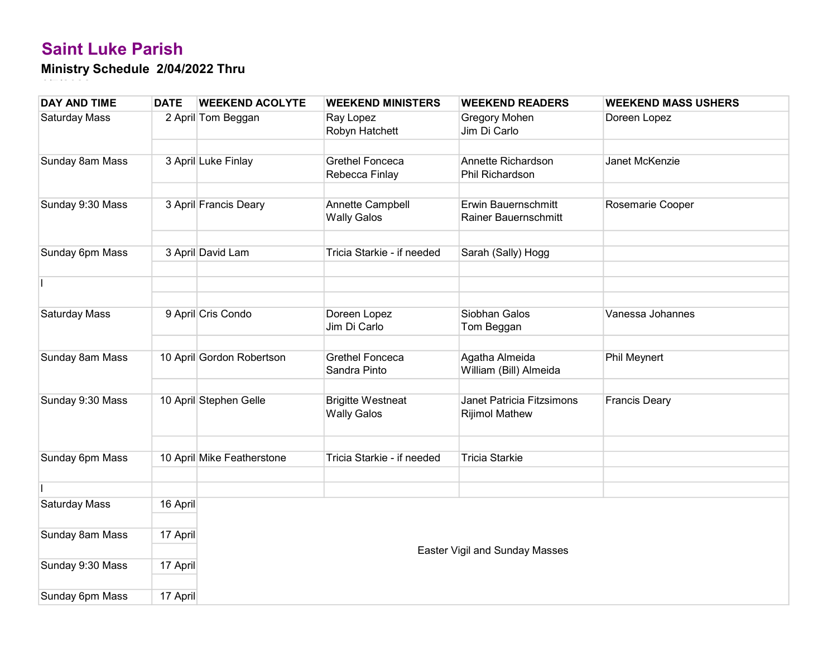| <b>DAY AND TIME</b>  | <b>DATE</b> | <b>WEEKEND ACOLYTE</b>     | <b>WEEKEND MINISTERS</b>                       | <b>WEEKEND READERS</b>                             | <b>WEEKEND MASS USHERS</b> |
|----------------------|-------------|----------------------------|------------------------------------------------|----------------------------------------------------|----------------------------|
| <b>Saturday Mass</b> |             | 2 April Tom Beggan         | Ray Lopez<br>Robyn Hatchett                    | Gregory Mohen<br>Jim Di Carlo                      | Doreen Lopez               |
|                      |             |                            |                                                |                                                    |                            |
| Sunday 8am Mass      |             | 3 April Luke Finlay        | <b>Grethel Fonceca</b><br>Rebecca Finlay       | Annette Richardson<br>Phil Richardson              | Janet McKenzie             |
|                      |             |                            |                                                |                                                    |                            |
| Sunday 9:30 Mass     |             | 3 April Francis Deary      | Annette Campbell<br><b>Wally Galos</b>         | Erwin Bauernschmitt<br>Rainer Bauernschmitt        | Rosemarie Cooper           |
| Sunday 6pm Mass      |             | 3 April David Lam          | Tricia Starkie - if needed                     | Sarah (Sally) Hogg                                 |                            |
|                      |             |                            |                                                |                                                    |                            |
|                      |             |                            |                                                |                                                    |                            |
|                      |             |                            |                                                | Siobhan Galos                                      |                            |
| Saturday Mass        |             | 9 April Cris Condo         | Doreen Lopez<br>Jim Di Carlo                   | Tom Beggan                                         | Vanessa Johannes           |
|                      |             |                            |                                                |                                                    |                            |
| Sunday 8am Mass      |             | 10 April Gordon Robertson  | <b>Grethel Fonceca</b><br>Sandra Pinto         | Agatha Almeida<br>William (Bill) Almeida           | <b>Phil Meynert</b>        |
|                      |             |                            |                                                |                                                    |                            |
| Sunday 9:30 Mass     |             | 10 April Stephen Gelle     | <b>Brigitte Westneat</b><br><b>Wally Galos</b> | Janet Patricia Fitzsimons<br><b>Rijimol Mathew</b> | <b>Francis Deary</b>       |
|                      |             |                            |                                                |                                                    |                            |
| Sunday 6pm Mass      |             | 10 April Mike Featherstone | Tricia Starkie - if needed                     | <b>Tricia Starkie</b>                              |                            |
|                      |             |                            |                                                |                                                    |                            |
| Saturday Mass        | 16 April    |                            |                                                |                                                    |                            |
|                      |             |                            |                                                |                                                    |                            |
| Sunday 8am Mass      | 17 April    |                            |                                                |                                                    |                            |
|                      |             |                            |                                                | Easter Vigil and Sunday Masses                     |                            |
| Sunday 9:30 Mass     | 17 April    |                            |                                                |                                                    |                            |
| Sunday 6pm Mass      | 17 April    |                            |                                                |                                                    |                            |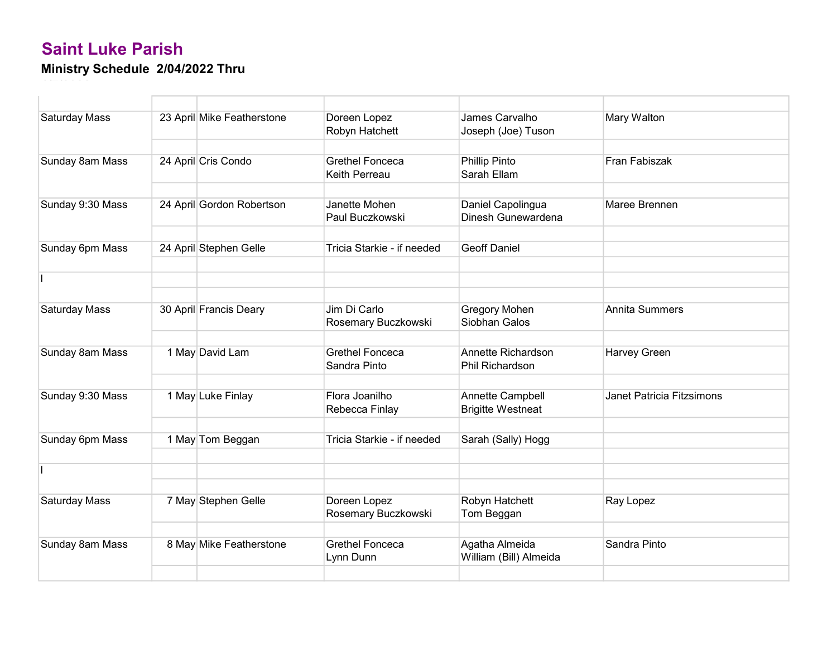| <b>Saturday Mass</b> | 23 April Mike Featherstone | Doreen Lopez<br>Robyn Hatchett          | James Carvalho<br>Joseph (Joe) Tuson         | Mary Walton               |
|----------------------|----------------------------|-----------------------------------------|----------------------------------------------|---------------------------|
|                      |                            |                                         |                                              |                           |
| Sunday 8am Mass      | 24 April Cris Condo        | <b>Grethel Fonceca</b><br>Keith Perreau | <b>Phillip Pinto</b><br>Sarah Ellam          | Fran Fabiszak             |
|                      |                            |                                         |                                              |                           |
| Sunday 9:30 Mass     | 24 April Gordon Robertson  | Janette Mohen<br>Paul Buczkowski        | Daniel Capolingua<br>Dinesh Gunewardena      | Maree Brennen             |
|                      |                            |                                         |                                              |                           |
| Sunday 6pm Mass      | 24 April Stephen Gelle     | Tricia Starkie - if needed              | <b>Geoff Daniel</b>                          |                           |
|                      |                            |                                         |                                              |                           |
|                      |                            |                                         |                                              |                           |
|                      |                            |                                         |                                              |                           |
| <b>Saturday Mass</b> | 30 April Francis Deary     | Jim Di Carlo<br>Rosemary Buczkowski     | <b>Gregory Mohen</b><br>Siobhan Galos        | <b>Annita Summers</b>     |
|                      |                            |                                         |                                              |                           |
| Sunday 8am Mass      | 1 May David Lam            | <b>Grethel Fonceca</b><br>Sandra Pinto  | Annette Richardson<br><b>Phil Richardson</b> | Harvey Green              |
|                      |                            |                                         |                                              |                           |
| Sunday 9:30 Mass     | 1 May Luke Finlay          | Flora Joanilho<br>Rebecca Finlay        | Annette Campbell<br><b>Brigitte Westneat</b> | Janet Patricia Fitzsimons |
|                      |                            |                                         |                                              |                           |
| Sunday 6pm Mass      | 1 May Tom Beggan           | Tricia Starkie - if needed              | Sarah (Sally) Hogg                           |                           |
|                      |                            |                                         |                                              |                           |
|                      |                            |                                         |                                              |                           |
|                      |                            |                                         |                                              |                           |
| <b>Saturday Mass</b> | 7 May Stephen Gelle        | Doreen Lopez<br>Rosemary Buczkowski     | Robyn Hatchett<br>Tom Beggan                 | Ray Lopez                 |
|                      |                            |                                         |                                              |                           |
| Sunday 8am Mass      | 8 May Mike Featherstone    | <b>Grethel Fonceca</b><br>Lynn Dunn     | Agatha Almeida<br>William (Bill) Almeida     | Sandra Pinto              |
|                      |                            |                                         |                                              |                           |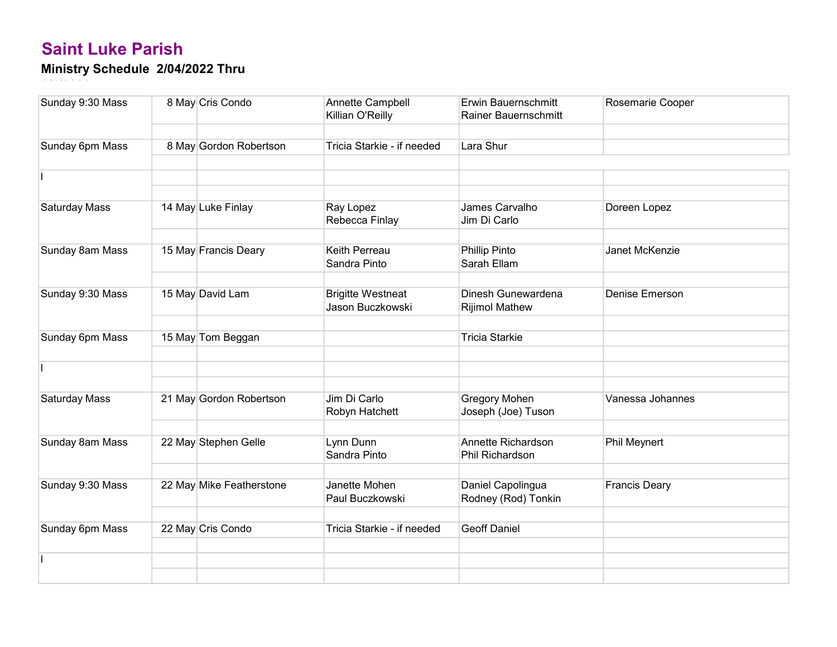| Sunday 9:30 Mass | 8 May Cris Condo         | Annette Campbell<br>Killian O'Reilly         | Erwin Bauernschmitt<br>Rainer Bauernschmitt | Rosemarie Cooper     |
|------------------|--------------------------|----------------------------------------------|---------------------------------------------|----------------------|
|                  |                          |                                              |                                             |                      |
| Sunday 6pm Mass  | 8 May Gordon Robertson   | Tricia Starkie - if needed                   | Lara Shur                                   |                      |
|                  |                          |                                              |                                             |                      |
|                  |                          |                                              |                                             |                      |
|                  |                          |                                              |                                             |                      |
| Saturday Mass    | 14 May Luke Finlay       | Ray Lopez<br>Rebecca Finlay                  | James Carvalho<br>Jim Di Carlo              | Doreen Lopez         |
|                  |                          |                                              |                                             |                      |
| Sunday 8am Mass  | 15 May Francis Deary     | Keith Perreau<br>Sandra Pinto                | <b>Phillip Pinto</b><br>Sarah Ellam         | Janet McKenzie       |
|                  |                          |                                              |                                             |                      |
| Sunday 9:30 Mass | 15 May David Lam         | <b>Brigitte Westneat</b><br>Jason Buczkowski | Dinesh Gunewardena<br><b>Rijimol Mathew</b> | Denise Emerson       |
|                  |                          |                                              |                                             |                      |
| Sunday 6pm Mass  | 15 May Tom Beggan        |                                              | <b>Tricia Starkie</b>                       |                      |
|                  |                          |                                              |                                             |                      |
|                  |                          |                                              |                                             |                      |
|                  |                          |                                              |                                             |                      |
| Saturday Mass    | 21 May Gordon Robertson  | Jim Di Carlo<br>Robyn Hatchett               | Gregory Mohen<br>Joseph (Joe) Tuson         | Vanessa Johannes     |
|                  |                          |                                              |                                             |                      |
| Sunday 8am Mass  | 22 May Stephen Gelle     | Lynn Dunn<br>Sandra Pinto                    | Annette Richardson<br>Phil Richardson       | Phil Meynert         |
|                  |                          |                                              |                                             |                      |
| Sunday 9:30 Mass | 22 May Mike Featherstone | Janette Mohen<br>Paul Buczkowski             | Daniel Capolingua<br>Rodney (Rod) Tonkin    | <b>Francis Deary</b> |
|                  |                          |                                              |                                             |                      |
| Sunday 6pm Mass  | 22 May Cris Condo        | Tricia Starkie - if needed                   | <b>Geoff Daniel</b>                         |                      |
|                  |                          |                                              |                                             |                      |
|                  |                          |                                              |                                             |                      |
|                  |                          |                                              |                                             |                      |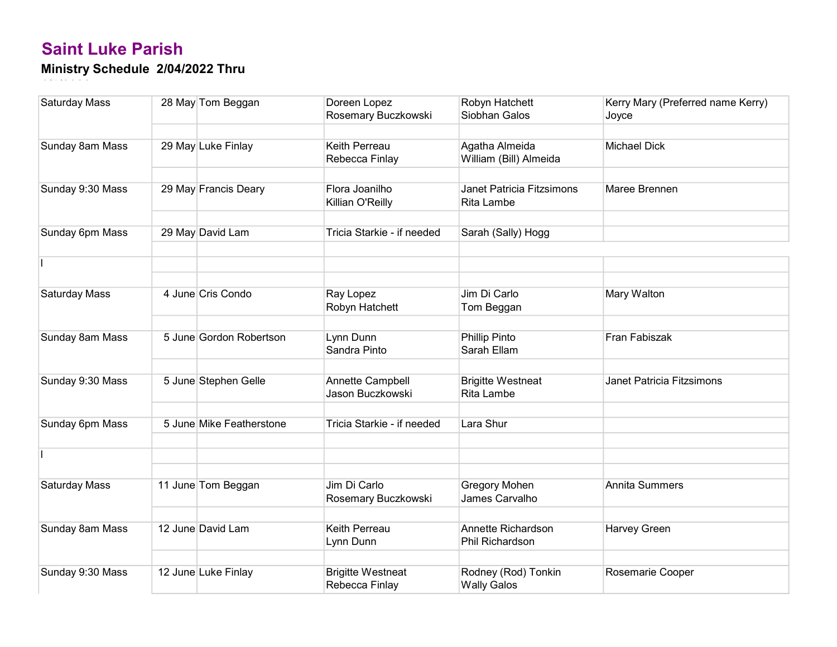| Saturday Mass        | 28 May Tom Beggan        | Doreen Lopez<br>Rosemary Buczkowski        | Robyn Hatchett<br>Siobhan Galos           | Kerry Mary (Preferred name Kerry)<br>Joyce |
|----------------------|--------------------------|--------------------------------------------|-------------------------------------------|--------------------------------------------|
|                      |                          |                                            |                                           |                                            |
| Sunday 8am Mass      | 29 May Luke Finlay       | Keith Perreau<br>Rebecca Finlay            | Agatha Almeida<br>William (Bill) Almeida  | <b>Michael Dick</b>                        |
|                      |                          |                                            |                                           |                                            |
| Sunday 9:30 Mass     | 29 May Francis Deary     | Flora Joanilho<br>Killian O'Reilly         | Janet Patricia Fitzsimons<br>Rita Lambe   | Maree Brennen                              |
|                      |                          |                                            |                                           |                                            |
| Sunday 6pm Mass      | 29 May David Lam         | Tricia Starkie - if needed                 | Sarah (Sally) Hogg                        |                                            |
|                      |                          |                                            |                                           |                                            |
|                      |                          |                                            |                                           |                                            |
|                      |                          |                                            |                                           |                                            |
| <b>Saturday Mass</b> | 4 June Cris Condo        | Ray Lopez<br>Robyn Hatchett                | Jim Di Carlo<br>Tom Beggan                | Mary Walton                                |
|                      |                          |                                            |                                           |                                            |
| Sunday 8am Mass      | 5 June Gordon Robertson  | Lynn Dunn<br>Sandra Pinto                  | Phillip Pinto<br>Sarah Ellam              | Fran Fabiszak                              |
|                      |                          |                                            |                                           |                                            |
| Sunday 9:30 Mass     | 5 June Stephen Gelle     | Annette Campbell<br>Jason Buczkowski       | <b>Brigitte Westneat</b><br>Rita Lambe    | Janet Patricia Fitzsimons                  |
|                      |                          |                                            |                                           |                                            |
| Sunday 6pm Mass      | 5 June Mike Featherstone | Tricia Starkie - if needed                 | Lara Shur                                 |                                            |
|                      |                          |                                            |                                           |                                            |
|                      |                          |                                            |                                           |                                            |
|                      |                          |                                            |                                           |                                            |
| <b>Saturday Mass</b> | 11 June Tom Beggan       | Jim Di Carlo<br>Rosemary Buczkowski        | Gregory Mohen<br>James Carvalho           | <b>Annita Summers</b>                      |
|                      |                          |                                            |                                           |                                            |
| Sunday 8am Mass      | 12 June David Lam        | Keith Perreau<br>Lynn Dunn                 | Annette Richardson<br>Phil Richardson     | Harvey Green                               |
|                      |                          |                                            |                                           |                                            |
| Sunday 9:30 Mass     | 12 June Luke Finlay      | <b>Brigitte Westneat</b><br>Rebecca Finlay | Rodney (Rod) Tonkin<br><b>Wally Galos</b> | Rosemarie Cooper                           |